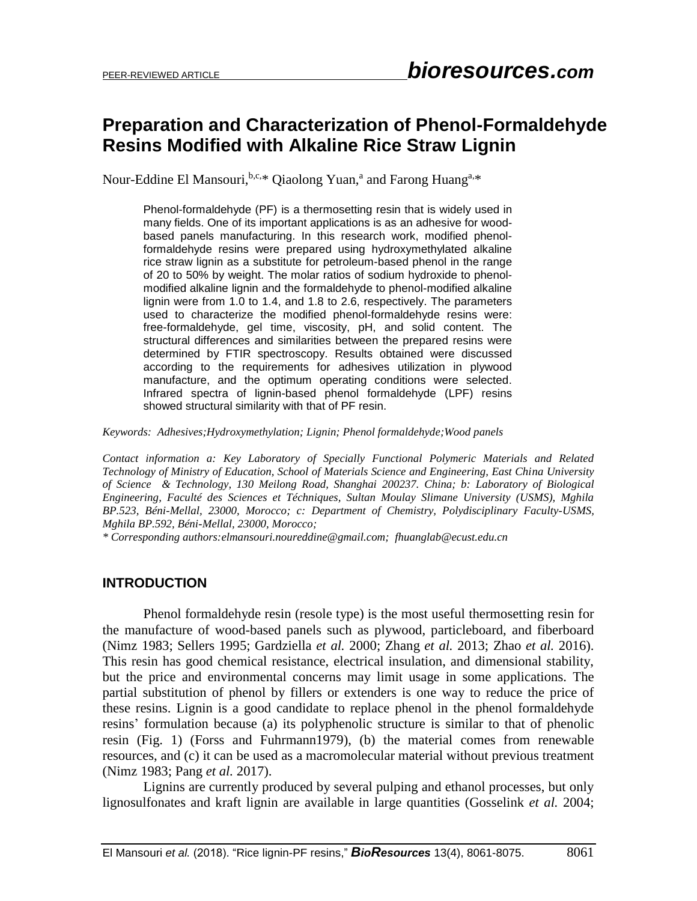# **Preparation and Characterization of Phenol-Formaldehyde Resins Modified with Alkaline Rice Straw Lignin**

Nour-Eddine El Mansouri, b.c.\* Qiaolong Yuan,<sup>a</sup> and Farong Huang<sup>a,\*</sup>

Phenol-formaldehyde (PF) is a thermosetting resin that is widely used in many fields. One of its important applications is as an adhesive for woodbased panels manufacturing. In this research work, modified phenolformaldehyde resins were prepared using hydroxymethylated alkaline rice straw lignin as a substitute for petroleum-based phenol in the range of 20 to 50% by weight. The molar ratios of sodium hydroxide to phenolmodified alkaline lignin and the formaldehyde to phenol-modified alkaline lignin were from 1.0 to 1.4, and 1.8 to 2.6, respectively. The parameters used to characterize the modified phenol-formaldehyde resins were: free-formaldehyde, gel time, viscosity, pH, and solid content. The structural differences and similarities between the prepared resins were determined by FTIR spectroscopy. Results obtained were discussed according to the requirements for adhesives utilization in plywood manufacture, and the optimum operating conditions were selected. Infrared spectra of lignin-based phenol formaldehyde (LPF) resins showed structural similarity with that of PF resin.

*Keywords: Adhesives;Hydroxymethylation; Lignin; Phenol formaldehyde;Wood panels*

*Contact information a: Key Laboratory of Specially Functional Polymeric Materials and Related Technology of Ministry of Education, School of Materials Science and Engineering, East China University of Science & Technology, 130 Meilong Road, Shanghai 200237. China; b: Laboratory of Biological Engineering, Faculté des Sciences et Téchniques, Sultan Moulay Slimane University (USMS), Mghila BP.523, Béni-Mellal, 23000, Morocco; c: Department of Chemistry, Polydisciplinary Faculty-USMS, Mghila BP.592, Béni-Mellal, 23000, Morocco;*

*\* Corresponding authors[:elmansouri.noureddine@gmail.com;](mailto:elmansouri.noureddine@gmail.com) fhuanglab@ecust.edu.cn* 

#### **INTRODUCTION**

Phenol formaldehyde resin (resole type) is the most useful thermosetting resin for the manufacture of wood-based panels such as plywood, particleboard, and fiberboard (Nimz 1983; Sellers 1995; Gardziella *et al.* 2000; Zhang *et al.* 2013; Zhao *et al.* 2016). This resin has good chemical resistance, electrical insulation, and dimensional stability, but the price and environmental concerns may limit usage in some applications. The partial substitution of phenol by fillers or extenders is one way to reduce the price of these resins. Lignin is a good candidate to replace phenol in the phenol formaldehyde resins' formulation because (a) its polyphenolic structure is similar to that of phenolic resin (Fig. 1) (Forss and Fuhrmann1979), (b) the material comes from renewable resources, and (c) it can be used as a macromolecular material without previous treatment (Nimz 1983; Pang *et al.* 2017).

Lignins are currently produced by several pulping and ethanol processes, but only lignosulfonates and kraft lignin are available in large quantities (Gosselink *et al.* 2004;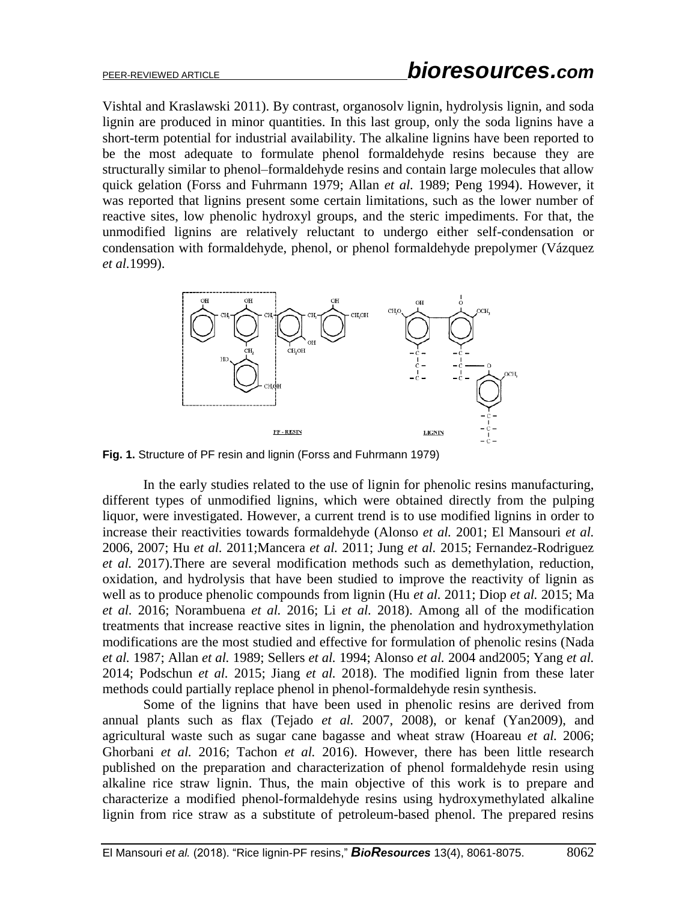Vishtal and Kraslawski 2011). By contrast, organosolv lignin, hydrolysis lignin, and soda lignin are produced in minor quantities. In this last group, only the soda lignins have a short-term potential for industrial availability. The alkaline lignins have been reported to be the most adequate to formulate phenol formaldehyde resins because they are structurally similar to phenol–formaldehyde resins and contain large molecules that allow quick gelation (Forss and Fuhrmann 1979; Allan *et al.* 1989; Peng 1994). However, it was reported that lignins present some certain limitations, such as the lower number of reactive sites, low phenolic hydroxyl groups, and the steric impediments. For that, the unmodified lignins are relatively reluctant to undergo either self-condensation or condensation with formaldehyde, phenol, or phenol formaldehyde prepolymer (Vázquez *et al.*1999).



**Fig. 1.** Structure of PF resin and lignin (Forss and Fuhrmann 1979)

In the early studies related to the use of lignin for phenolic resins manufacturing, different types of unmodified lignins, which were obtained directly from the pulping liquor, were investigated. However, a current trend is to use modified lignins in order to increase their reactivities towards formaldehyde (Alonso *et al.* 2001; El Mansouri *et al.* 2006, 2007; Hu *et al.* 2011;Mancera *et al.* 2011; Jung *et al.* 2015; Fernandez-Rodriguez *et al.* 2017).There are several modification methods such as demethylation, reduction, oxidation, and hydrolysis that have been studied to improve the reactivity of lignin as well as to produce phenolic compounds from lignin (Hu *et al.* 2011; Diop *et al.* 2015; Ma *et al.* 2016; Norambuena *et al.* 2016; Li *et al.* 2018). Among all of the modification treatments that increase reactive sites in lignin, the phenolation and hydroxymethylation modifications are the most studied and effective for formulation of phenolic resins (Nada *et al.* 1987; Allan *et al.* 1989; Sellers *et al.* 1994; Alonso *et al.* 2004 and2005; Yang *et al.* 2014; Podschun *et al.* 2015; Jiang *et al.* 2018). The modified lignin from these later methods could partially replace phenol in phenol-formaldehyde resin synthesis.

Some of the lignins that have been used in phenolic resins are derived from annual plants such as flax (Tejado *et al.* 2007, 2008), or kenaf (Yan2009), and agricultural waste such as sugar cane bagasse and wheat straw (Hoareau *et al.* 2006; Ghorbani *et al.* 2016; Tachon *et al.* 2016). However, there has been little research published on the preparation and characterization of phenol formaldehyde resin using alkaline rice straw lignin. Thus, the main objective of this work is to prepare and characterize a modified phenol-formaldehyde resins using hydroxymethylated alkaline lignin from rice straw as a substitute of petroleum-based phenol. The prepared resins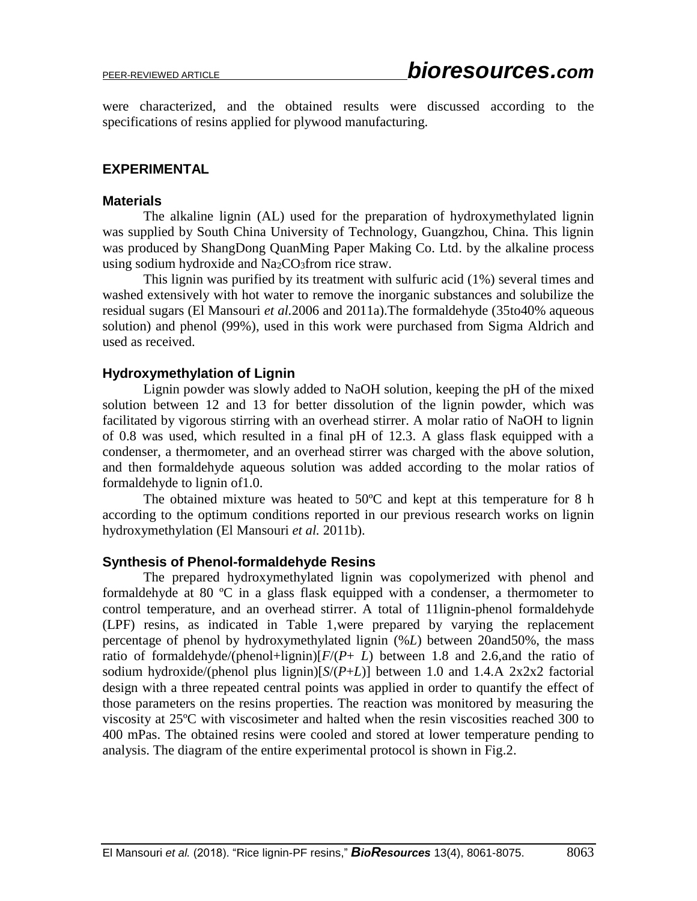were characterized, and the obtained results were discussed according to the specifications of resins applied for plywood manufacturing.

#### **EXPERIMENTAL**

#### **Materials**

The alkaline lignin (AL) used for the preparation of hydroxymethylated lignin was supplied by South China University of Technology, Guangzhou, China. This lignin was produced by ShangDong QuanMing Paper Making Co. Ltd. by the alkaline process using sodium hydroxide and  $Na<sub>2</sub>CO<sub>3</sub>$  from rice straw.

This lignin was purified by its treatment with sulfuric acid (1%) several times and washed extensively with hot water to remove the inorganic substances and solubilize the residual sugars (El Mansouri *et al.*2006 and 2011a).The formaldehyde (35to40% aqueous solution) and phenol (99%), used in this work were purchased from Sigma Aldrich and used as received.

#### **Hydroxymethylation of Lignin**

Lignin powder was slowly added to NaOH solution, keeping the pH of the mixed solution between 12 and 13 for better dissolution of the lignin powder, which was facilitated by vigorous stirring with an overhead stirrer. A molar ratio of NaOH to lignin of 0.8 was used, which resulted in a final pH of 12.3. A glass flask equipped with a condenser, a thermometer, and an overhead stirrer was charged with the above solution, and then formaldehyde aqueous solution was added according to the molar ratios of formaldehyde to lignin of1.0.

The obtained mixture was heated to 50ºC and kept at this temperature for 8 h according to the optimum conditions reported in our previous research works on lignin hydroxymethylation (El Mansouri *et al.* 2011b).

#### **Synthesis of Phenol-formaldehyde Resins**

The prepared hydroxymethylated lignin was copolymerized with phenol and formaldehyde at 80  $\degree$ C in a glass flask equipped with a condenser, a thermometer to control temperature, and an overhead stirrer. A total of 11lignin-phenol formaldehyde (LPF) resins, as indicated in Table 1,were prepared by varying the replacement percentage of phenol by hydroxymethylated lignin (%*L*) between 20and50%, the mass ratio of formaldehyde/(phenol+lignin) $[F/(P+ L)$  between 1.8 and 2.6,and the ratio of sodium hydroxide/(phenol plus lignin)[*S*/(*P*+*L*)] between 1.0 and 1.4.A 2x2x2 factorial design with a three repeated central points was applied in order to quantify the effect of those parameters on the resins properties. The reaction was monitored by measuring the viscosity at 25ºC with viscosimeter and halted when the resin viscosities reached 300 to 400 mPas. The obtained resins were cooled and stored at lower temperature pending to analysis. The diagram of the entire experimental protocol is shown in Fig.2.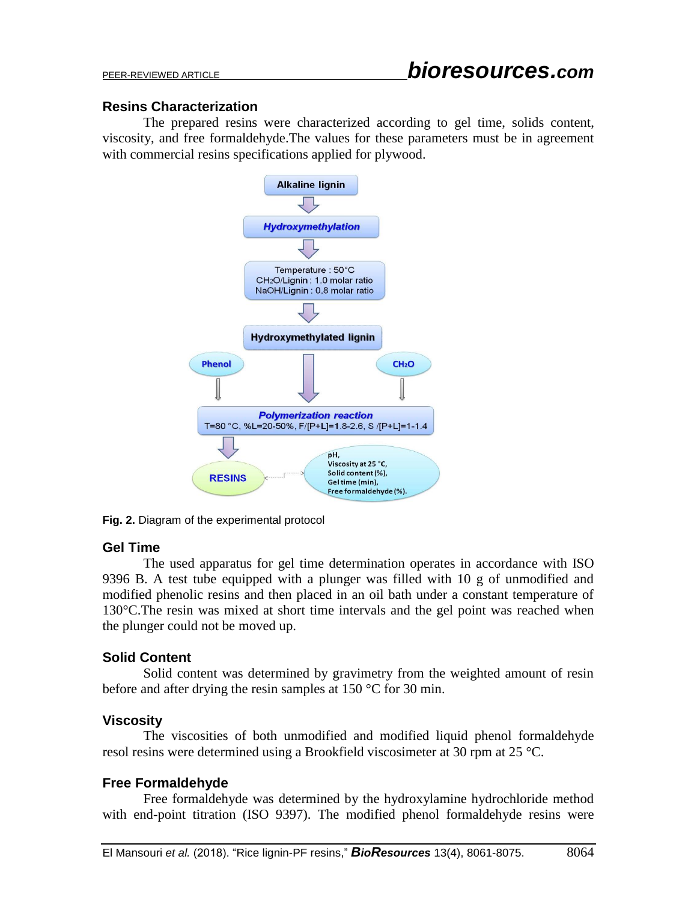## **Resins Characterization**

The prepared resins were characterized according to gel time, solids content, viscosity, and free formaldehyde.The values for these parameters must be in agreement with commercial resins specifications applied for plywood.



**Fig. 2.** Diagram of the experimental protocol

## **Gel Time**

The used apparatus for gel time determination operates in accordance with ISO 9396 B. A test tube equipped with a plunger was filled with 10 g of unmodified and modified phenolic resins and then placed in an oil bath under a constant temperature of 130°C.The resin was mixed at short time intervals and the gel point was reached when the plunger could not be moved up.

## **Solid Content**

Solid content was determined by gravimetry from the weighted amount of resin before and after drying the resin samples at 150 °C for 30 min.

## **Viscosity**

The viscosities of both unmodified and modified liquid phenol formaldehyde resol resins were determined using a Brookfield viscosimeter at 30 rpm at 25 °C.

# **Free Formaldehyde**

Free formaldehyde was determined by the hydroxylamine hydrochloride method with end-point titration (ISO 9397). The modified phenol formaldehyde resins were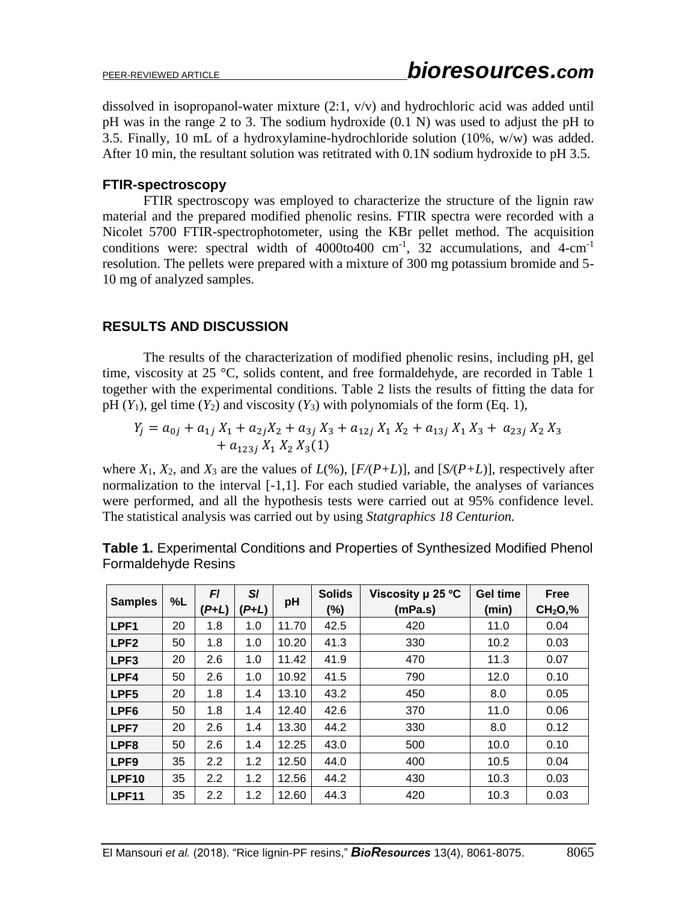dissolved in isopropanol-water mixture (2:1, v/v) and hydrochloric acid was added until pH was in the range 2 to 3. The sodium hydroxide (0.1 N) was used to adjust the pH to 3.5. Finally, 10 mL of a hydroxylamine-hydrochloride solution (10%, w/w) was added. After 10 min, the resultant solution was retitrated with 0.1N sodium hydroxide to pH 3.5.

#### **FTIR-spectroscopy**

FTIR spectroscopy was employed to characterize the structure of the lignin raw material and the prepared modified phenolic resins. FTIR spectra were recorded with a Nicolet 5700 FTIR-spectrophotometer, using the KBr pellet method. The acquisition conditions were: spectral width of  $4000$ to $400$  cm<sup>-1</sup>, 32 accumulations, and  $4$ -cm<sup>-1</sup> resolution. The pellets were prepared with a mixture of 300 mg potassium bromide and 5- 10 mg of analyzed samples.

## **RESULTS AND DISCUSSION**

The results of the characterization of modified phenolic resins, including pH, gel time, viscosity at 25 °C, solids content, and free formaldehyde, are recorded in Table 1 together with the experimental conditions. Table 2 lists the results of fitting the data for pH  $(Y_1)$ , gel time  $(Y_2)$  and viscosity  $(Y_3)$  with polynomials of the form (Eq. 1),

$$
Y_j = a_{0j} + a_{1j} X_1 + a_{2j} X_2 + a_{3j} X_3 + a_{12j} X_1 X_2 + a_{13j} X_1 X_3 + a_{23j} X_2 X_3 + a_{12j} X_1 X_2 X_3(1)
$$

where  $X_1$ ,  $X_2$ , and  $X_3$  are the values of  $L(\%)$ ,  $[F/(P+L)]$ , and  $[S/(P+L)]$ , respectively after normalization to the interval [-1,1]. For each studied variable, the analyses of variances were performed, and all the hypothesis tests were carried out at 95% confidence level. The statistical analysis was carried out by using *Statgraphics 18 Centurion.* 

|                   |    | F       | $S$ /   |       | <b>Solids</b> | Viscosity µ 25 °C | <b>Gel time</b> | Free                             |
|-------------------|----|---------|---------|-------|---------------|-------------------|-----------------|----------------------------------|
| <b>Samples</b>    | %L | $(P+L)$ | $(P+L)$ | pH    | (%)           | (mPa.s)           | (min)           | CH <sub>2</sub> O <sub>1</sub> % |
| LPF <sub>1</sub>  | 20 | 1.8     | 1.0     | 11.70 | 42.5          | 420               | 11.0            | 0.04                             |
| LPF <sub>2</sub>  | 50 | 1.8     | 1.0     | 10.20 | 41.3          | 330               | 10.2            | 0.03                             |
| LPF <sub>3</sub>  | 20 | 2.6     | 1.0     | 11.42 | 41.9          | 470               | 11.3            | 0.07                             |
| LPF4              | 50 | 2.6     | 1.0     | 10.92 | 41.5          | 790               | 12.0            | 0.10                             |
| LPF <sub>5</sub>  | 20 | 1.8     | 1.4     | 13.10 | 43.2          | 450               | 8.0             | 0.05                             |
| LPF <sub>6</sub>  | 50 | 1.8     | 1.4     | 12.40 | 42.6          | 370               | 11.0            | 0.06                             |
| LPF7              | 20 | 2.6     | 1.4     | 13.30 | 44.2          | 330               | 8.0             | 0.12                             |
| LPF8              | 50 | 2.6     | 1.4     | 12.25 | 43.0          | 500               | 10.0            | 0.10                             |
| LPF <sub>9</sub>  | 35 | 2.2     | 1.2     | 12.50 | 44.0          | 400               | 10.5            | 0.04                             |
| LPF <sub>10</sub> | 35 | 2.2     | 1.2     | 12.56 | 44.2          | 430               | 10.3            | 0.03                             |
| LPF11             | 35 | 2.2     | 1.2     | 12.60 | 44.3          | 420               | 10.3            | 0.03                             |

**Table 1.** Experimental Conditions and Properties of Synthesized Modified Phenol Formaldehyde Resins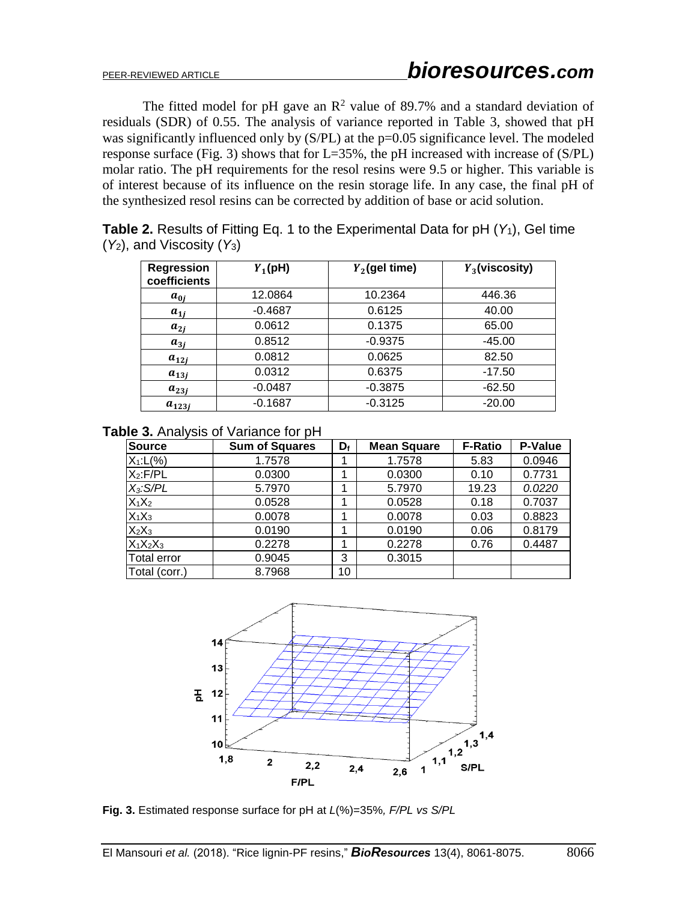The fitted model for pH gave an  $\mathbb{R}^2$  value of 89.7% and a standard deviation of residuals (SDR) of 0.55. The analysis of variance reported in Table 3, showed that pH was significantly influenced only by (S/PL) at the p=0.05 significance level. The modeled response surface (Fig. 3) shows that for L=35%, the pH increased with increase of (S/PL) molar ratio. The pH requirements for the resol resins were 9.5 or higher. This variable is of interest because of its influence on the resin storage life. In any case, the final pH of the synthesized resol resins can be corrected by addition of base or acid solution.

|                                 |          | <b>Table 2.</b> Results of Fitting Eq. 1 to the Experimental Data for pH $(Y_1)$ , Gel time |        |  |
|---------------------------------|----------|---------------------------------------------------------------------------------------------|--------|--|
| $(Y_2)$ , and Viscosity $(Y_3)$ |          |                                                                                             |        |  |
|                                 | $-    -$ | __ _ _ _ _                                                                                  | -- - - |  |

| <b>Regression</b><br>coefficients | $Y_1$ (pH) | $Y_2$ (gel time) | $Y_3$ (viscosity) |
|-----------------------------------|------------|------------------|-------------------|
| $a_{0i}$                          | 12.0864    | 10.2364          | 446.36            |
| $a_{1j}$                          | $-0.4687$  | 0.6125           | 40.00             |
| $a_{2i}$                          | 0.0612     | 0.1375           | 65.00             |
| $a_{3i}$                          | 0.8512     | $-0.9375$        | $-45.00$          |
| $a_{12j}$                         | 0.0812     | 0.0625           | 82.50             |
| $a_{13j}$                         | 0.0312     | 0.6375           | $-17.50$          |
| $a_{23j}$                         | $-0.0487$  | $-0.3875$        | $-62.50$          |
| $a_{123i}$                        | $-0.1687$  | $-0.3125$        | $-20.00$          |

**Table 3.** Analysis of Variance for pH

| <b>Source</b>      | <b>Sum of Squares</b> | Df | <b>Mean Square</b> | <b>F-Ratio</b> | P-Value |
|--------------------|-----------------------|----|--------------------|----------------|---------|
| $X_1: L(% )$       | 1.7578                |    | 1.7578             | 5.83           | 0.0946  |
| $X_2$ : $F/PL$     | 0.0300                |    | 0.0300             | 0.10           | 0.7731  |
| $X_3$ : S/PL       | 5.7970                |    | 5.7970             | 19.23          | 0.0220  |
| $X_1X_2$           | 0.0528                |    | 0.0528             | 0.18           | 0.7037  |
| $X_1X_3$           | 0.0078                | 4  | 0.0078             | 0.03           | 0.8823  |
| $X_2X_3$           | 0.0190                | 4  | 0.0190             | 0.06           | 0.8179  |
| $X_1X_2X_3$        | 0.2278                | 1  | 0.2278             | 0.76           | 0.4487  |
| <b>Total error</b> | 0.9045                | 3  | 0.3015             |                |         |
| Total (corr.)      | 8.7968                | 10 |                    |                |         |



**Fig. 3.** Estimated response surface for pH at *L*(%)=35%*, F/PL vs S/PL*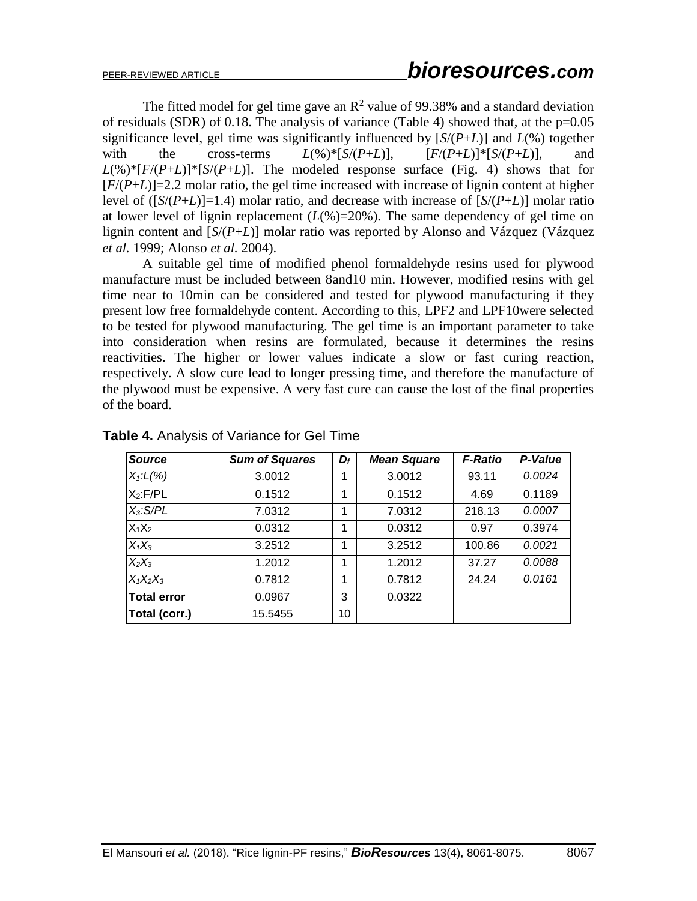The fitted model for gel time gave an  $\mathbb{R}^2$  value of 99.38% and a standard deviation of residuals (SDR) of 0.18. The analysis of variance (Table 4) showed that, at the p=0.05 significance level, gel time was significantly influenced by  $[S/(P+L)]$  and  $L(\%)$  together with the cross-terms  $L(\%)^*[S/(P+L)]$ ,  $[F/(P+L)]^*[S/(P+L)]$ , and  $L(\%)^*[F/(P+L)]^*[S/(P+L)]$ . The modeled response surface (Fig. 4) shows that for  $[F/(P+L)]$ =2.2 molar ratio, the gel time increased with increase of lignin content at higher level of  $(\frac{S}{(P+L)}=1.4)$  molar ratio, and decrease with increase of  $\frac{S}{(P+L)}$  molar ratio at lower level of lignin replacement  $(L(\%)=20\%)$ . The same dependency of gel time on lignin content and [*S*/(*P*+*L*)] molar ratio was reported by Alonso and Vázquez (Vázquez *et al.* 1999; Alonso *et al.* 2004).

A suitable gel time of modified phenol formaldehyde resins used for plywood manufacture must be included between 8and10 min. However, modified resins with gel time near to 10min can be considered and tested for plywood manufacturing if they present low free formaldehyde content. According to this, LPF2 and LPF10were selected to be tested for plywood manufacturing. The gel time is an important parameter to take into consideration when resins are formulated, because it determines the resins reactivities. The higher or lower values indicate a slow or fast curing reaction, respectively. A slow cure lead to longer pressing time, and therefore the manufacture of the plywood must be expensive. A very fast cure can cause the lost of the final properties of the board.

| <b>Source</b>      | <b>Sum of Squares</b> | $\boldsymbol{D_f}$ | <b>Mean Square</b> | <b>F-Ratio</b> | P-Value |
|--------------------|-----------------------|--------------------|--------------------|----------------|---------|
| $X_1: L(\%)$       | 3.0012                | 1                  | 3.0012             | 93.11          | 0.0024  |
| $X_2$ : $F/PL$     | 0.1512                | 1                  | 0.1512             | 4.69           | 0.1189  |
| $X_3$ : $S/PL$     | 7.0312                | 1                  | 7.0312             | 218.13         | 0.0007  |
| $X_1X_2$           | 0.0312                | 1                  | 0.0312             | 0.97           | 0.3974  |
| $X_1X_3$           | 3.2512                | 1                  | 3.2512             | 100.86         | 0.0021  |
| $X_2X_3$           | 1.2012                | 1                  | 1.2012             | 37.27          | 0.0088  |
| $X_1X_2X_3$        | 0.7812                | 1                  | 0.7812             | 24.24          | 0.0161  |
| <b>Total error</b> | 0.0967                | 3                  | 0.0322             |                |         |
| Total (corr.)      | 15.5455               | 10                 |                    |                |         |

**Table 4.** Analysis of Variance for Gel Time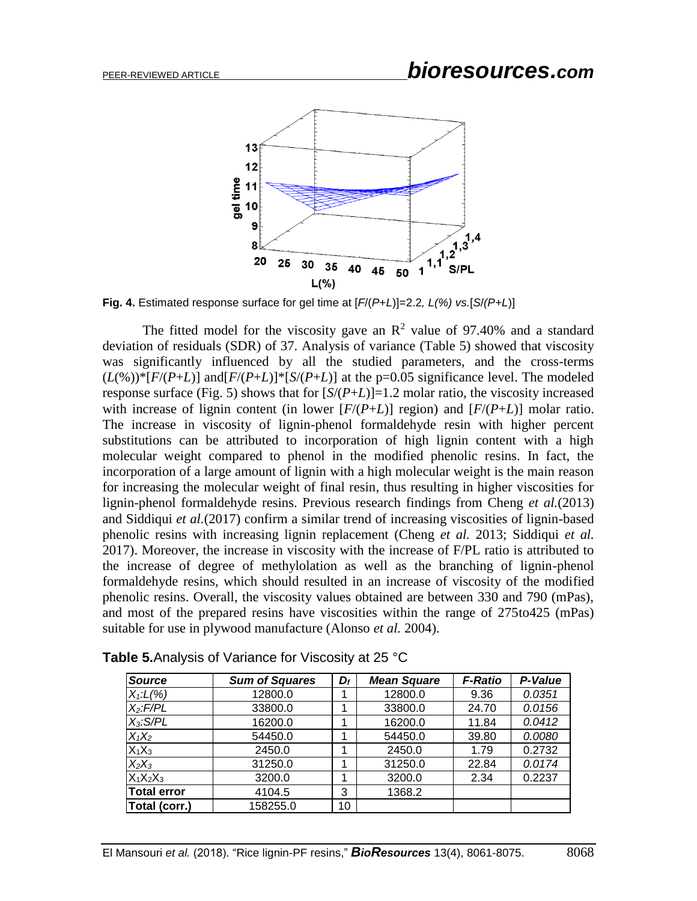

**Fig. 4.** Estimated response surface for gel time at [*F*/(*P*+*L*)]=2.2*, L(%) vs.*[*S*/*(P+L*)]

The fitted model for the viscosity gave an  $\mathbb{R}^2$  value of 97.40% and a standard deviation of residuals (SDR) of 37. Analysis of variance (Table 5) showed that viscosity was significantly influenced by all the studied parameters, and the cross-terms  $(L(\%)^* [F/(P+L)]$  and  $[F/(P+L)]^* [S/(P+L)]$  at the p=0.05 significance level. The modeled response surface (Fig. 5) shows that for  $[S/(P+L)]=1.2$  molar ratio, the viscosity increased with increase of lignin content (in lower  $[F/(P+L)]$  region) and  $[F/(P+L)]$  molar ratio. The increase in viscosity of lignin-phenol formaldehyde resin with higher percent substitutions can be attributed to incorporation of high lignin content with a high molecular weight compared to phenol in the modified phenolic resins. In fact, the incorporation of a large amount of lignin with a high molecular weight is the main reason for increasing the molecular weight of final resin, thus resulting in higher viscosities for lignin-phenol formaldehyde resins. Previous research findings from Cheng *et al.*(2013) and Siddiqui *et al.*(2017) confirm a similar trend of increasing viscosities of lignin-based phenolic resins with increasing lignin replacement (Cheng *et al.* 2013; Siddiqui *et al.* 2017). Moreover, the increase in viscosity with the increase of F/PL ratio is attributed to the increase of degree of methylolation as well as the branching of lignin-phenol formaldehyde resins, which should resulted in an increase of viscosity of the modified phenolic resins. Overall, the viscosity values obtained are between 330 and 790 (mPas), and most of the prepared resins have viscosities within the range of 275to425 (mPas) suitable for use in plywood manufacture (Alonso *et al.* 2004).

| <b>Source</b>      | <b>Sum of Squares</b> | $D_f$ | <b>Mean Square</b> | <b>F-Ratio</b> | P-Value |
|--------------------|-----------------------|-------|--------------------|----------------|---------|
| $X_1: L(% )$       | 12800.0               |       | 12800.0            | 9.36           | 0.0351  |
| $X_2$ : F/PL       | 33800.0               |       | 33800.0            | 24.70          | 0.0156  |
| $X_3$ : S/PL       | 16200.0               |       | 16200.0            | 11.84          | 0.0412  |
| $X_1X_2$           | 54450.0               |       | 54450.0            | 39.80          | 0.0080  |
| $X_1X_3$           | 2450.0                |       | 2450.0             | 1.79           | 0.2732  |
| $X_2X_3$           | 31250.0               |       | 31250.0            | 22.84          | 0.0174  |
| $X_1X_2X_3$        | 3200.0                |       | 3200.0             | 2.34           | 0.2237  |
| <b>Total error</b> | 4104.5                | 3     | 1368.2             |                |         |
| Total (corr.)      | 158255.0              | 10    |                    |                |         |

**Table 5.**Analysis of Variance for Viscosity at 25 °C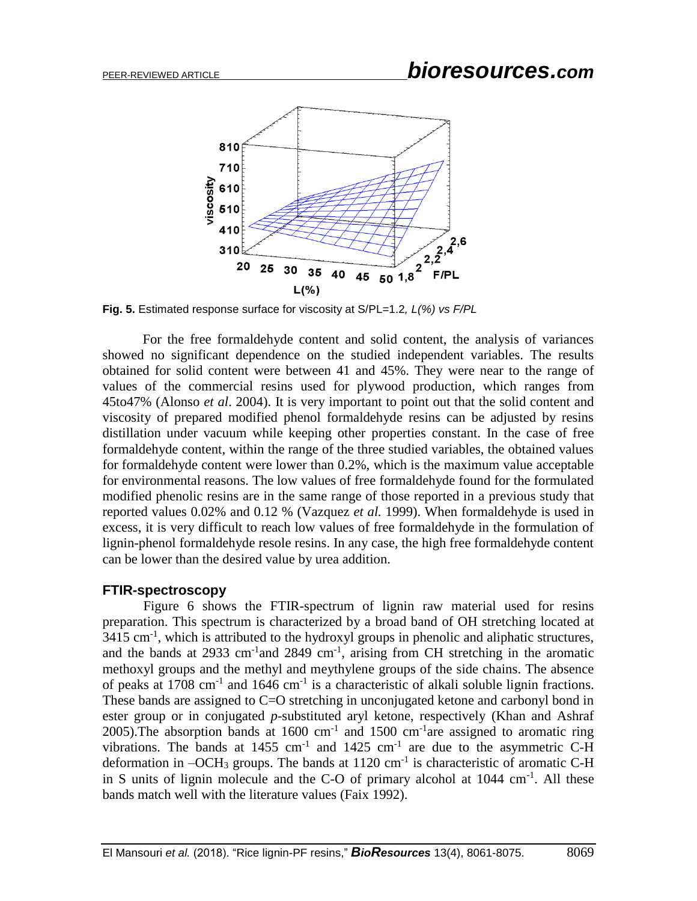

**Fig. 5.** Estimated response surface for viscosity at S/PL=1.2*, L(%) vs F/PL*

For the free formaldehyde content and solid content, the analysis of variances showed no significant dependence on the studied independent variables. The results obtained for solid content were between 41 and 45%. They were near to the range of values of the commercial resins used for plywood production, which ranges from 45to47% (Alonso *et al*. 2004). It is very important to point out that the solid content and viscosity of prepared modified phenol formaldehyde resins can be adjusted by resins distillation under vacuum while keeping other properties constant. In the case of free formaldehyde content, within the range of the three studied variables, the obtained values for formaldehyde content were lower than 0.2%, which is the maximum value acceptable for environmental reasons. The low values of free formaldehyde found for the formulated modified phenolic resins are in the same range of those reported in a previous study that reported values 0.02% and 0.12 % (Vazquez *et al.* 1999). When formaldehyde is used in excess, it is very difficult to reach low values of free formaldehyde in the formulation of lignin-phenol formaldehyde resole resins. In any case, the high free formaldehyde content can be lower than the desired value by urea addition.

#### **FTIR-spectroscopy**

Figure 6 shows the FTIR-spectrum of lignin raw material used for resins preparation. This spectrum is characterized by a broad band of OH stretching located at  $3415 \text{ cm}^{-1}$ , which is attributed to the hydroxyl groups in phenolic and aliphatic structures, and the bands at 2933 cm<sup>-1</sup> and 2849 cm<sup>-1</sup>, arising from CH stretching in the aromatic methoxyl groups and the methyl and meythylene groups of the side chains. The absence of peaks at  $1708 \text{ cm}^{-1}$  and  $1646 \text{ cm}^{-1}$  is a characteristic of alkali soluble lignin fractions. These bands are assigned to C=O stretching in unconjugated ketone and carbonyl bond in ester group or in conjugated *p*-substituted aryl ketone, respectively (Khan and Ashraf 2005). The absorption bands at  $1600 \text{ cm}^{-1}$  and  $1500 \text{ cm}^{-1}$  are assigned to aromatic ring vibrations. The bands at  $1455 \text{ cm}^{-1}$  and  $1425 \text{ cm}^{-1}$  are due to the asymmetric C-H deformation in  $-OCH_3$  groups. The bands at 1120 cm<sup>-1</sup> is characteristic of aromatic C-H in S units of lignin molecule and the C-O of primary alcohol at  $1044 \text{ cm}^{-1}$ . All these bands match well with the literature values (Faix 1992).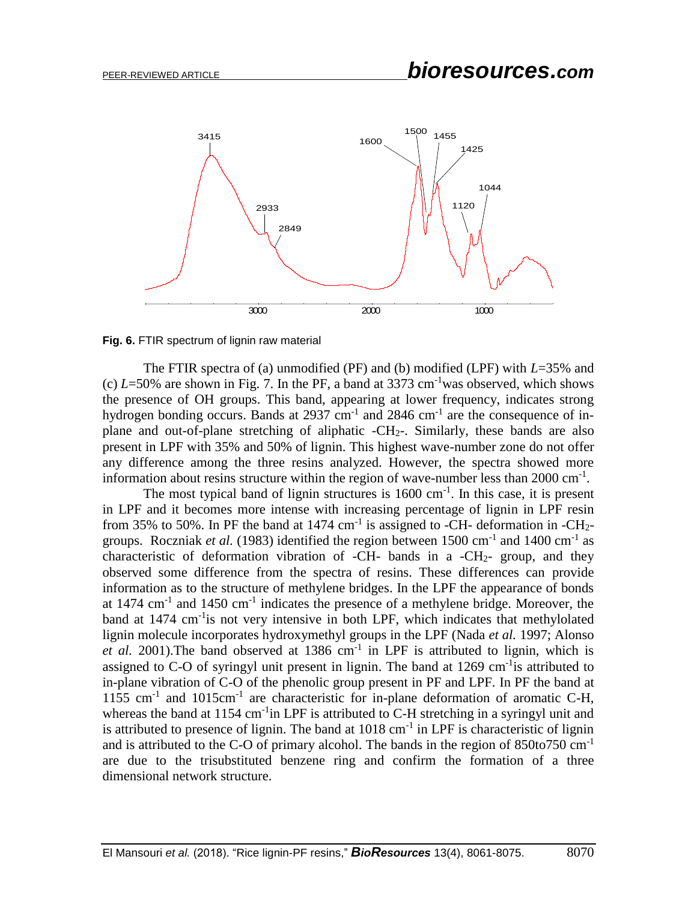



The FTIR spectra of (a) unmodified (PF) and (b) modified (LPF) with *L*=35% and (c)  $L=50\%$  are shown in Fig. 7. In the PF, a band at 3373 cm<sup>-1</sup>was observed, which shows the presence of OH groups. This band, appearing at lower frequency, indicates strong hydrogen bonding occurs. Bands at 2937 cm<sup>-1</sup> and 2846 cm<sup>-1</sup> are the consequence of inplane and out-of-plane stretching of aliphatic -CH2-. Similarly, these bands are also present in LPF with 35% and 50% of lignin. This highest wave-number zone do not offer any difference among the three resins analyzed. However, the spectra showed more information about resins structure within the region of wave-number less than  $2000 \text{ cm}^{-1}$ .

The most typical band of lignin structures is  $1600 \text{ cm}^{-1}$ . In this case, it is present in LPF and it becomes more intense with increasing percentage of lignin in LPF resin from 35% to 50%. In PF the band at 1474  $cm^{-1}$  is assigned to -CH- deformation in -CH<sub>2</sub>groups. Roczniak *et al.* (1983) identified the region between  $1500 \text{ cm}^{-1}$  and  $1400 \text{ cm}^{-1}$  as characteristic of deformation vibration of -CH- bands in a -CH<sub>2</sub>- group, and they observed some difference from the spectra of resins. These differences can provide information as to the structure of methylene bridges. In the LPF the appearance of bonds at  $1474 \text{ cm}^{-1}$  and  $1450 \text{ cm}^{-1}$  indicates the presence of a methylene bridge. Moreover, the band at 1474 cm<sup>-1</sup>is not very intensive in both LPF, which indicates that methylolated lignin molecule incorporates hydroxymethyl groups in the LPF (Nada *et al.* 1997; Alonso et al. 2001). The band observed at  $1386 \text{ cm}^{-1}$  in LPF is attributed to lignin, which is assigned to C-O of syringyl unit present in lignin. The band at  $1269 \text{ cm}^{-1}$  is attributed to in-plane vibration of C-O of the phenolic group present in PF and LPF. In PF the band at 1155 cm<sup>-1</sup> and 1015cm<sup>-1</sup> are characteristic for in-plane deformation of aromatic C-H, whereas the band at 1154 cm<sup>-1</sup>in LPF is attributed to C-H stretching in a syringyl unit and is attributed to presence of lignin. The band at  $1018 \text{ cm}^{-1}$  in LPF is characteristic of lignin and is attributed to the C-O of primary alcohol. The bands in the region of 850to750 cm-1 are due to the trisubstituted benzene ring and confirm the formation of a three dimensional network structure.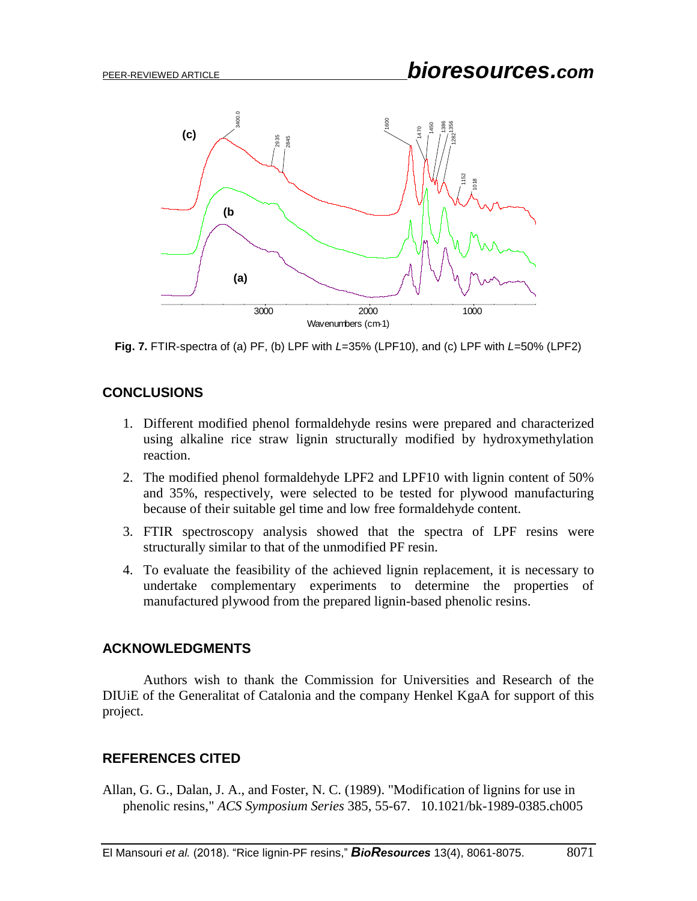

**Fig. 7.** FTIR-spectra of (a) PF, (b) LPF with *L*=35% (LPF10), and (c) LPF with *L*=50% (LPF2)

## **CONCLUSIONS**

- 1. Different modified phenol formaldehyde resins were prepared and characterized using alkaline rice straw lignin structurally modified by hydroxymethylation reaction.
- 2. The modified phenol formaldehyde LPF2 and LPF10 with lignin content of 50% and 35%, respectively, were selected to be tested for plywood manufacturing because of their suitable gel time and low free formaldehyde content.
- 3. FTIR spectroscopy analysis showed that the spectra of LPF resins were structurally similar to that of the unmodified PF resin.
- 4. To evaluate the feasibility of the achieved lignin replacement, it is necessary to undertake complementary experiments to determine the properties of manufactured plywood from the prepared lignin-based phenolic resins.

## **ACKNOWLEDGMENTS**

Authors wish to thank the Commission for Universities and Research of the DIUiE of the Generalitat of Catalonia and the company Henkel KgaA for support of this project.

## **REFERENCES CITED**

Allan, G. G., Dalan, J. A., and Foster, N. C. (1989). "Modification of lignins for use in phenolic resins," *ACS Symposium Series* 385, 55-67. 10.1021/bk-1989-0385.ch005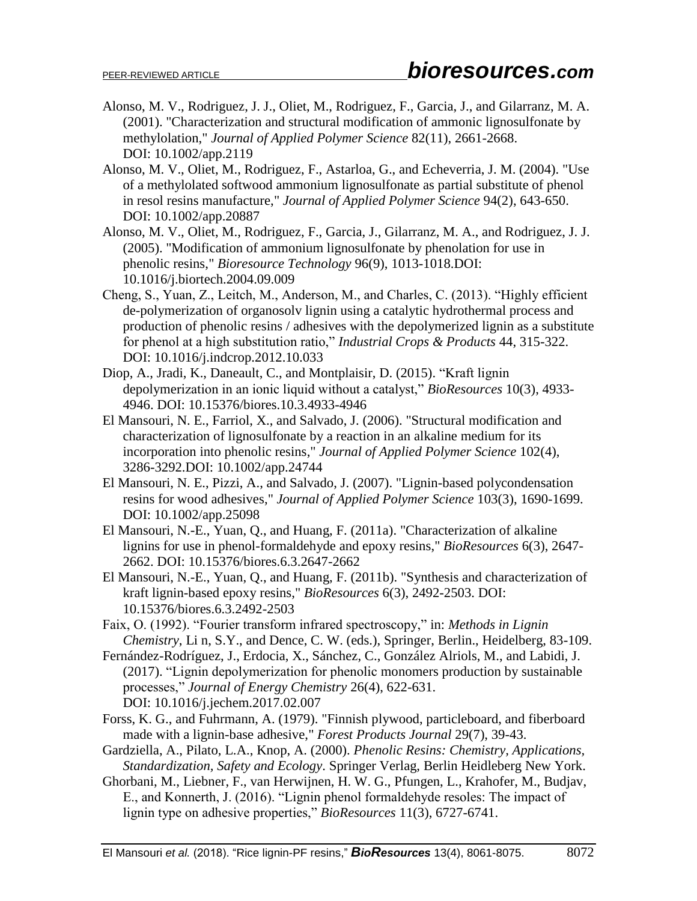- Alonso, M. V., Rodriguez, J. J., Oliet, M., Rodriguez, F., Garcia, J., and Gilarranz, M. A. (2001). "Characterization and structural modification of ammonic lignosulfonate by methylolation," *Journal of Applied Polymer Science* 82(11), 2661-2668. DOI: 10.1002/app.2119
- Alonso, M. V., Oliet, M., Rodriguez, F., Astarloa, G., and Echeverria, J. M. (2004). "Use of a methylolated softwood ammonium lignosulfonate as partial substitute of phenol in resol resins manufacture," *Journal of Applied Polymer Science* 94(2), 643-650. DOI: 10.1002/app.20887
- Alonso, M. V., Oliet, M., Rodriguez, F., Garcia, J., Gilarranz, M. A., and Rodriguez, J. J. (2005). "Modification of ammonium lignosulfonate by phenolation for use in phenolic resins," *Bioresource Technology* 96(9), 1013-1018.DOI: 10.1016/j.biortech.2004.09.009
- Cheng, S., Yuan, Z., Leitch, M., Anderson, M., and Charles, C. (2013). "Highly efficient de-polymerization of organosolv lignin using a catalytic hydrothermal process and production of phenolic resins / adhesives with the depolymerized lignin as a substitute for phenol at a high substitution ratio," *Industrial Crops & Products* 44, 315-322. DOI: 10.1016/j.indcrop.2012.10.033
- Diop, A., Jradi, K., Daneault, C., and Montplaisir, D. (2015). "Kraft lignin depolymerization in an ionic liquid without a catalyst," *BioResources* 10(3), 4933- 4946. DOI: 10.15376/biores.10.3.4933-4946
- El Mansouri, N. E., Farriol, X., and Salvado, J. (2006). "Structural modification and characterization of lignosulfonate by a reaction in an alkaline medium for its incorporation into phenolic resins," *Journal of Applied Polymer Science* 102(4), 3286-3292.DOI: 10.1002/app.24744
- El Mansouri, N. E., Pizzi, A., and Salvado, J. (2007). "Lignin-based polycondensation resins for wood adhesives," *Journal of Applied Polymer Science* 103(3), 1690-1699. DOI: 10.1002/app.25098
- El Mansouri, N.-E., Yuan, Q., and Huang, F. (2011a). "Characterization of alkaline lignins for use in phenol-formaldehyde and epoxy resins," *BioResources* 6(3), 2647- 2662. DOI: 10.15376/biores.6.3.2647-2662
- El Mansouri, N.-E., Yuan, Q., and Huang, F. (2011b). "Synthesis and characterization of kraft lignin-based epoxy resins," *BioResources* 6(3), 2492-2503. DOI: 10.15376/biores.6.3.2492-2503
- Faix, O. (1992). "Fourier transform infrared spectroscopy," in: *Methods in Lignin Chemistry*, Li n, S.Y., and Dence, C. W. (eds.), Springer, Berlin., Heidelberg, 83-109.
- Fernández-Rodríguez, J., Erdocia, X., Sánchez, C., González Alriols, M., and Labidi, J. (2017). "Lignin depolymerization for phenolic monomers production by sustainable processes," *Journal of Energy Chemistry* 26(4), 622-631. DOI: 10.1016/j.jechem.2017.02.007
- Forss, K. G., and Fuhrmann, A. (1979). "Finnish plywood, particleboard, and fiberboard made with a lignin-base adhesive," *Forest Products Journal* 29(7), 39-43.
- Gardziella, A., Pilato, L.A., Knop, A. (2000). *Phenolic Resins: Chemistry, Applications, Standardization, Safety and Ecology*. Springer Verlag, Berlin Heidleberg New York.
- Ghorbani, M., Liebner, F., van Herwijnen, H. W. G., Pfungen, L., Krahofer, M., Budjav, E., and Konnerth, J. (2016). "Lignin phenol formaldehyde resoles: The impact of lignin type on adhesive properties," *BioResources* 11(3), 6727-6741.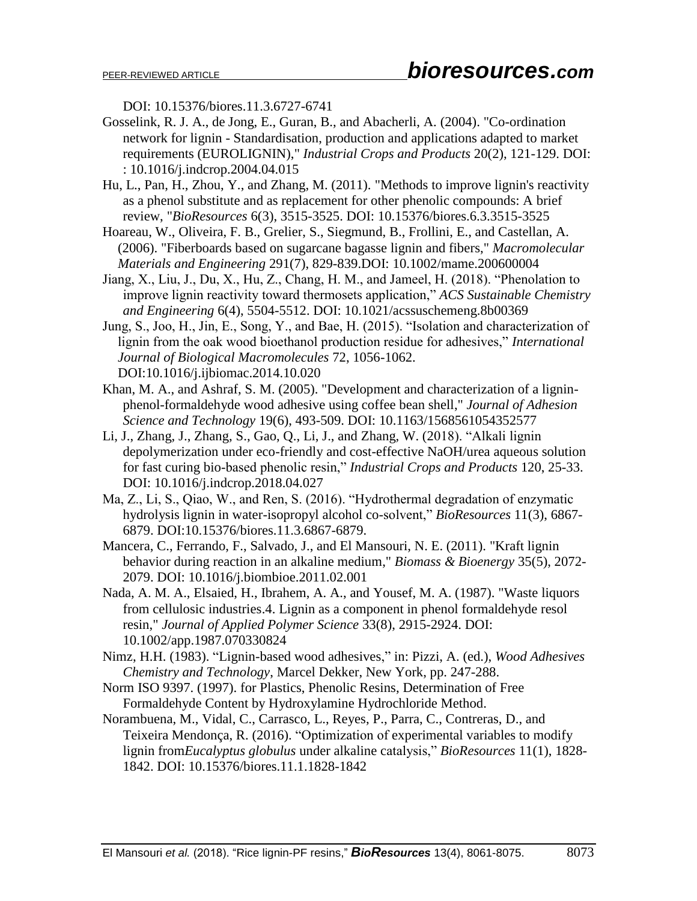DOI: 10.15376/biores.11.3.6727-6741

- Gosselink, R. J. A., de Jong, E., Guran, B., and Abacherli, A. (2004). "Co-ordination network for lignin - Standardisation, production and applications adapted to market requirements (EUROLIGNIN)," *Industrial Crops and Products* 20(2), 121-129. [DOI:](https://doi.org/10.1016/j.indcrop.2004.04.015)  [: 10.1016/j.indcrop.2004.04.015](https://doi.org/10.1016/j.indcrop.2004.04.015)
- Hu, L., Pan, H., Zhou, Y., and Zhang, M. (2011). "Methods to improve lignin's reactivity as a phenol substitute and as replacement for other phenolic compounds: A brief review, "*BioResources* 6(3), 3515-3525. DOI: 10.15376/biores.6.3.3515-3525
- Hoareau, W., Oliveira, F. B., Grelier, S., Siegmund, B., Frollini, E., and Castellan, A. (2006). "Fiberboards based on sugarcane bagasse lignin and fibers," *Macromolecular Materials and Engineering* 291(7), 829-839.DOI: 10.1002/mame.200600004
- Jiang, X., Liu, J., Du, X., Hu, Z., Chang, H. M., and Jameel, H. (2018). "Phenolation to improve lignin reactivity toward thermosets application," *ACS Sustainable Chemistry and Engineering* 6(4), 5504-5512. DOI: 10.1021/acssuschemeng.8b00369
- Jung, S., Joo, H., Jin, E., Song, Y., and Bae, H. (2015). "Isolation and characterization of lignin from the oak wood bioethanol production residue for adhesives," *International Journal of Biological Macromolecules* 72, 1056-1062. DOI[:10.1016/j.ijbiomac.2014.10.020](https://doi.org/10.1016/j.ijbiomac.2014.10.020)
- Khan, M. A., and Ashraf, S. M. (2005). "Development and characterization of a ligninphenol-formaldehyde wood adhesive using coffee bean shell," *Journal of Adhesion Science and Technology* 19(6), 493-509. [DOI: 10.1163/1568561054352577](https://doi.org/10.1163/1568561054352577)
- Li, J., Zhang, J., Zhang, S., Gao, Q., Li, J., and Zhang, W. (2018). "Alkali lignin depolymerization under eco-friendly and cost-effective NaOH/urea aqueous solution for fast curing bio-based phenolic resin," *Industrial Crops and Products* 120, 25-33. [DOI: 10.1016/j.indcrop.2018.04.027](https://doi.org/10.1016/j.indcrop.2018.04.027)
- Ma, Z., Li, S., Qiao, W., and Ren, S. (2016). "Hydrothermal degradation of enzymatic hydrolysis lignin in water-isopropyl alcohol co-solvent," *BioResources* 11(3), 6867- 6879. DOI:10.15376/biores.11.3.6867-6879.
- Mancera, C., Ferrando, F., Salvado, J., and El Mansouri, N. E. (2011). "Kraft lignin behavior during reaction in an alkaline medium," *Biomass & Bioenergy* 35(5), 2072- 2079. [DOI: 10.1016/j.biombioe.2011.02.001](https://doi.org/10.1016/j.biombioe.2011.02.001)
- Nada, A. M. A., Elsaied, H., Ibrahem, A. A., and Yousef, M. A. (1987). "Waste liquors from cellulosic industries.4. Lignin as a component in phenol formaldehyde resol resin," *Journal of Applied Polymer Science* 33(8), 2915-2924. [DOI:](https://doi.org/10.1002/app.1987.070330824)  [10.1002/app.1987.070330824](https://doi.org/10.1002/app.1987.070330824)
- Nimz, H.H. (1983). "Lignin-based wood adhesives," in: Pizzi, A. (ed.), *Wood Adhesives Chemistry and Technology*, Marcel Dekker, New York, pp. 247-288.
- Norm ISO 9397. (1997). for Plastics, Phenolic Resins, Determination of Free Formaldehyde Content by Hydroxylamine Hydrochloride Method.
- Norambuena, M., Vidal, C., Carrasco, L., Reyes, P., Parra, C., Contreras, D., and Teixeira Mendonça, R. (2016). "Optimization of experimental variables to modify lignin from*Eucalyptus globulus* under alkaline catalysis," *BioResources* 11(1), 1828- 1842. DOI: 10.15376/biores.11.1.1828-1842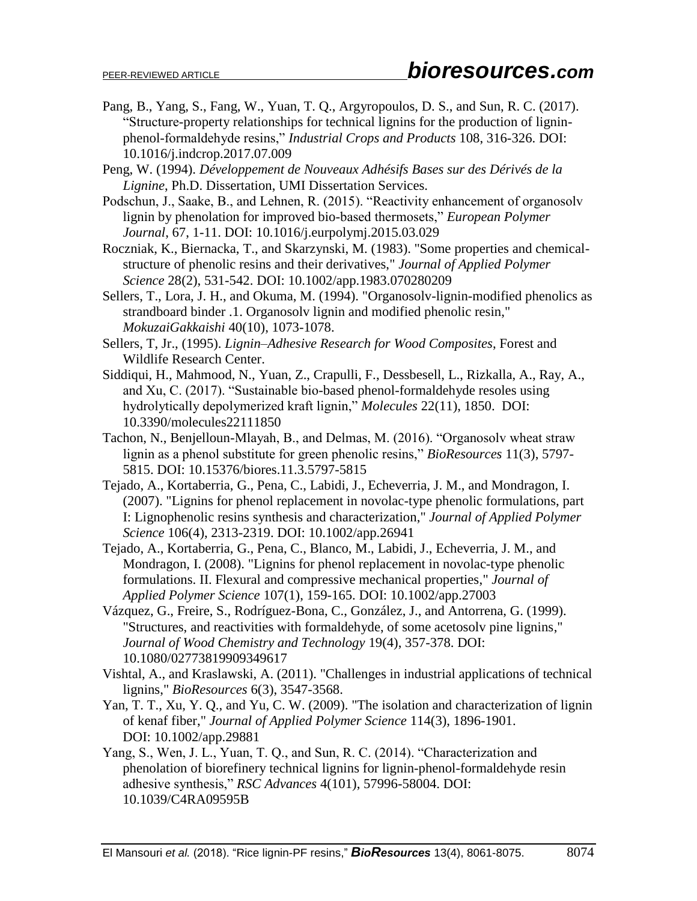- Pang, B., Yang, S., Fang, W., Yuan, T. Q., Argyropoulos, D. S., and Sun, R. C. (2017). "Structure-property relationships for technical lignins for the production of ligninphenol-formaldehyde resins," *Industrial Crops and Products* 108, 316-326. [DOI:](https://doi.org/10.1016/j.indcrop.2017.07.009)  [10.1016/j.indcrop.2017.07.009](https://doi.org/10.1016/j.indcrop.2017.07.009)
- Peng, W. (1994). *Développement de Nouveaux Adhésifs Bases sur des Dérivés de la Lignine*, Ph.D. Dissertation, UMI Dissertation Services.
- Podschun, J., Saake, B., and Lehnen, R. (2015). "Reactivity enhancement of organosolv lignin by phenolation for improved bio-based thermosets," *European Polymer Journal*, 67, 1-11. [DOI: 10.1016/j.eurpolymj.2015.03.029](https://doi.org/10.1016/j.eurpolymj.2015.03.029)
- Roczniak, K., Biernacka, T., and Skarzynski, M. (1983). "Some properties and chemicalstructure of phenolic resins and their derivatives," *Journal of Applied Polymer Science* 28(2), 531-542. [DOI: 10.1002/app.1983.070280209](https://doi.org/10.1002/app.1983.070280209)
- Sellers, T., Lora, J. H., and Okuma, M. (1994). "Organosolv-lignin-modified phenolics as strandboard binder .1. Organosolv lignin and modified phenolic resin," *MokuzaiGakkaishi* 40(10), 1073-1078.
- Sellers, T, Jr., (1995). *Lignin–Adhesive Research for Wood Composites*, Forest and Wildlife Research Center.
- Siddiqui, H., Mahmood, N., Yuan, Z., Crapulli, F., Dessbesell, L., Rizkalla, A., Ray, A., and Xu, C. (2017). "Sustainable bio-based phenol-formaldehyde resoles using hydrolytically depolymerized kraft lignin," *Molecules* 22(11), 1850. DOI: [10.3390/molecules22111850](https://doi.org/10.3390/molecules22111850)
- Tachon, N., Benjelloun-Mlayah, B., and Delmas, M. (2016). "Organosolv wheat straw lignin as a phenol substitute for green phenolic resins," *BioResources* 11(3), 5797- 5815. DOI: 10.15376/biores.11.3.5797-5815
- Tejado, A., Kortaberria, G., Pena, C., Labidi, J., Echeverria, J. M., and Mondragon, I. (2007). "Lignins for phenol replacement in novolac-type phenolic formulations, part I: Lignophenolic resins synthesis and characterization," *Journal of Applied Polymer Science* 106(4), 2313-2319. [DOI: 10.1002/app.26941](https://doi.org/10.1002/app.26941)
- Tejado, A., Kortaberria, G., Pena, C., Blanco, M., Labidi, J., Echeverria, J. M., and Mondragon, I. (2008). "Lignins for phenol replacement in novolac-type phenolic formulations. II. Flexural and compressive mechanical properties," *Journal of Applied Polymer Science* 107(1), 159-165. DOI: [10.1002/app.27003](https://doi.org/10.1002/app.27003)
- Vázquez, G., Freire, S., Rodríguez-Bona, C., González, J., and Antorrena, G. (1999). "Structures, and reactivities with formaldehyde, of some acetosolv pine lignins," *Journal of Wood Chemistry and Technology* 19(4), 357-378. [DOI:](https://doi.org/10.1080/02773819909349617)  [10.1080/02773819909349617](https://doi.org/10.1080/02773819909349617)
- Vishtal, A., and Kraslawski, A. (2011). "Challenges in industrial applications of technical lignins," *BioResources* 6(3), 3547-3568.
- Yan, T. T., Xu, Y. Q., and Yu, C. W. (2009). "The isolation and characterization of lignin of kenaf fiber," *Journal of Applied Polymer Science* 114(3), 1896-1901. [DOI: 10.1002/app.29881](https://doi.org/10.1002/app.29881)
- Yang, S., Wen, J. L., Yuan, T. Q., and Sun, R. C. (2014). "Characterization and phenolation of biorefinery technical lignins for lignin-phenol-formaldehyde resin adhesive synthesis," *RSC Advances* 4(101), 57996-58004. DOI: 10.1039/C4RA09595B